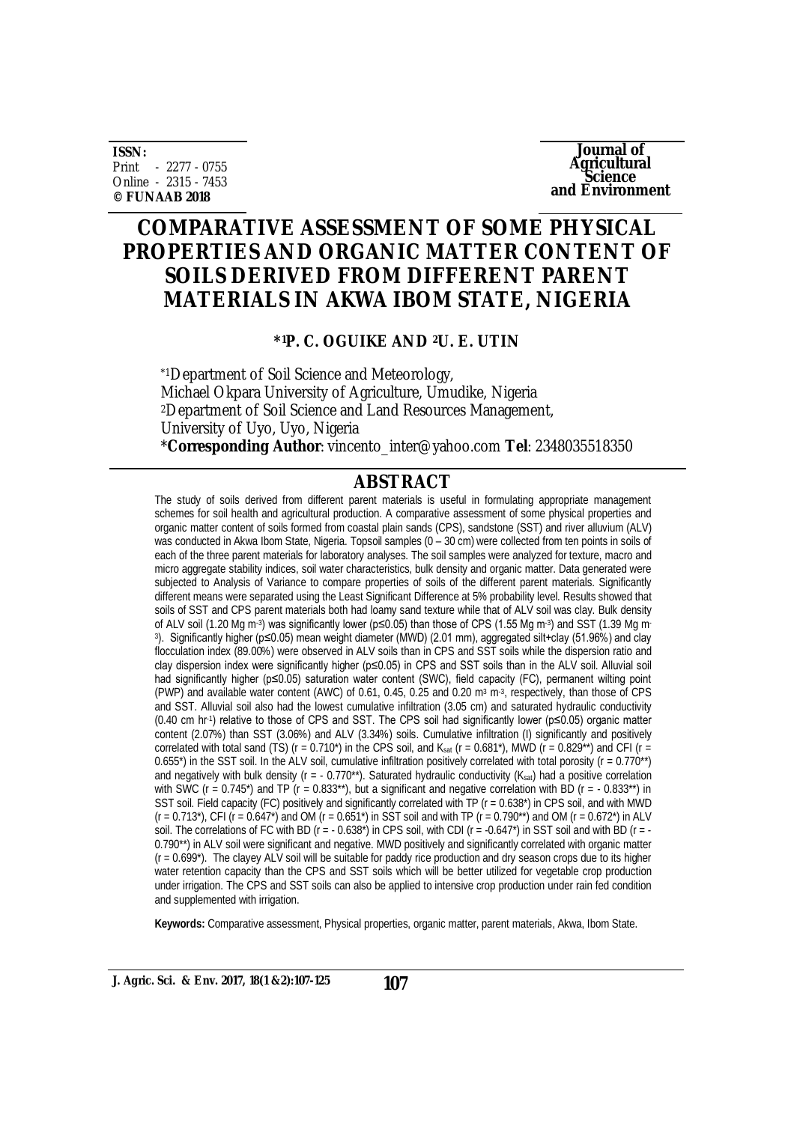**ISSN:** Print - 2277 - 0755 Online - 2315 - 7453 **© FUNAAB 2018**

**Journal of Agricultural Science and Environment**

# **COMPARATIVE ASSESSMENT OF SOME PHYSICAL PROPERTIES AND ORGANIC MATTER CONTENT OF SOILS DERIVED FROM DIFFERENT PARENT MATERIALS IN AKWA IBOM STATE, NIGERIA**

#### **\*1P. C. OGUIKE AND 2U. E. UTIN**

\*1Department of Soil Science and Meteorology, Michael Okpara University of Agriculture, Umudike, Nigeria <sup>2</sup>Department of Soil Science and Land Resources Management, University of Uyo, Uyo, Nigeria \***Corresponding Author**: [vincento\\_inter@yahoo.com](mailto:vincento_inter@yahoo.com) **Tel**: 2348035518350

#### **ABSTRACT**

The study of soils derived from different parent materials is useful in formulating appropriate management schemes for soil health and agricultural production. A comparative assessment of some physical properties and organic matter content of soils formed from coastal plain sands (CPS), sandstone (SST) and river alluvium (ALV) was conducted in Akwa Ibom State, Nigeria. Topsoil samples (0 – 30 cm) were collected from ten points in soils of each of the three parent materials for laboratory analyses. The soil samples were analyzed for texture, macro and micro aggregate stability indices, soil water characteristics, bulk density and organic matter. Data generated were subjected to Analysis of Variance to compare properties of soils of the different parent materials. Significantly different means were separated using the Least Significant Difference at 5% probability level. Results showed that soils of SST and CPS parent materials both had loamy sand texture while that of ALV soil was clay. Bulk density of ALV soil (1.20 Mg m⋅3) was significantly lower (p≤0.05) than those of CPS (1.55 Mg m⋅3) and SST (1.39 Mg m⋅ 3 ). Significantly higher (p≤0.05) mean weight diameter (MWD) (2.01 mm), aggregated silt+clay (51.96%) and clay flocculation index (89.00%) were observed in ALV soils than in CPS and SST soils while the dispersion ratio and clay dispersion index were significantly higher (p≤0.05) in CPS and SST soils than in the ALV soil. Alluvial soil had significantly higher (p≤0.05) saturation water content (SWC), field capacity (FC), permanent wilting point (PWP) and available water content (AWC) of 0.61, 0.45, 0.25 and 0.20 m<sup>3</sup> m<sup>-3</sup>, respectively, than those of CPS and SST. Alluvial soil also had the lowest cumulative infiltration (3.05 cm) and saturated hydraulic conductivity (0.40 cm hr-1 ) relative to those of CPS and SST. The CPS soil had significantly lower (p≤0.05) organic matter content (2.07%) than SST (3.06%) and ALV (3.34%) soils. Cumulative infiltration (I) significantly and positively correlated with total sand (TS) (r = 0.710<sup>\*</sup>) in the CPS soil, and K<sub>sat</sub> (r = 0.681<sup>\*</sup>), MWD (r = 0.829<sup>\*\*</sup>) and CFI (r = 0.655\*) in the SST soil. In the ALV soil, cumulative infiltration positively correlated with total porosity ( $r = 0.770**$ ) and negatively with bulk density ( $r = -0.770**$ ). Saturated hydraulic conductivity ( $K<sub>sat</sub>$ ) had a positive correlation with SWC ( $r = 0.745$ <sup>\*</sup>) and TP ( $r = 0.833$ <sup>\*\*</sup>), but a significant and negative correlation with BD ( $r = -0.833$ <sup>\*\*</sup>) in SST soil. Field capacity (FC) positively and significantly correlated with TP (r = 0.638\*) in CPS soil, and with MWD  $(r = 0.713^*)$ , CFI (r = 0.647<sup>\*</sup>) and OM (r = 0.651<sup>\*</sup>) in SST soil and with TP (r = 0.790<sup>\*\*</sup>) and OM (r = 0.672<sup>\*</sup>) in ALV soil. The correlations of FC with BD ( $r = -0.638$ <sup>\*</sup>) in CPS soil, with CDI ( $r = -0.647$ <sup>\*</sup>) in SST soil and with BD ( $r = -0.647$ ) 0.790\*\*) in ALV soil were significant and negative. MWD positively and significantly correlated with organic matter  $(r = 0.699^*)$ . The clayey ALV soil will be suitable for paddy rice production and dry season crops due to its higher water retention capacity than the CPS and SST soils which will be better utilized for vegetable crop production under irrigation. The CPS and SST soils can also be applied to intensive crop production under rain fed condition and supplemented with irrigation.

**Keywords:** Comparative assessment, Physical properties, organic matter, parent materials, Akwa, Ibom State.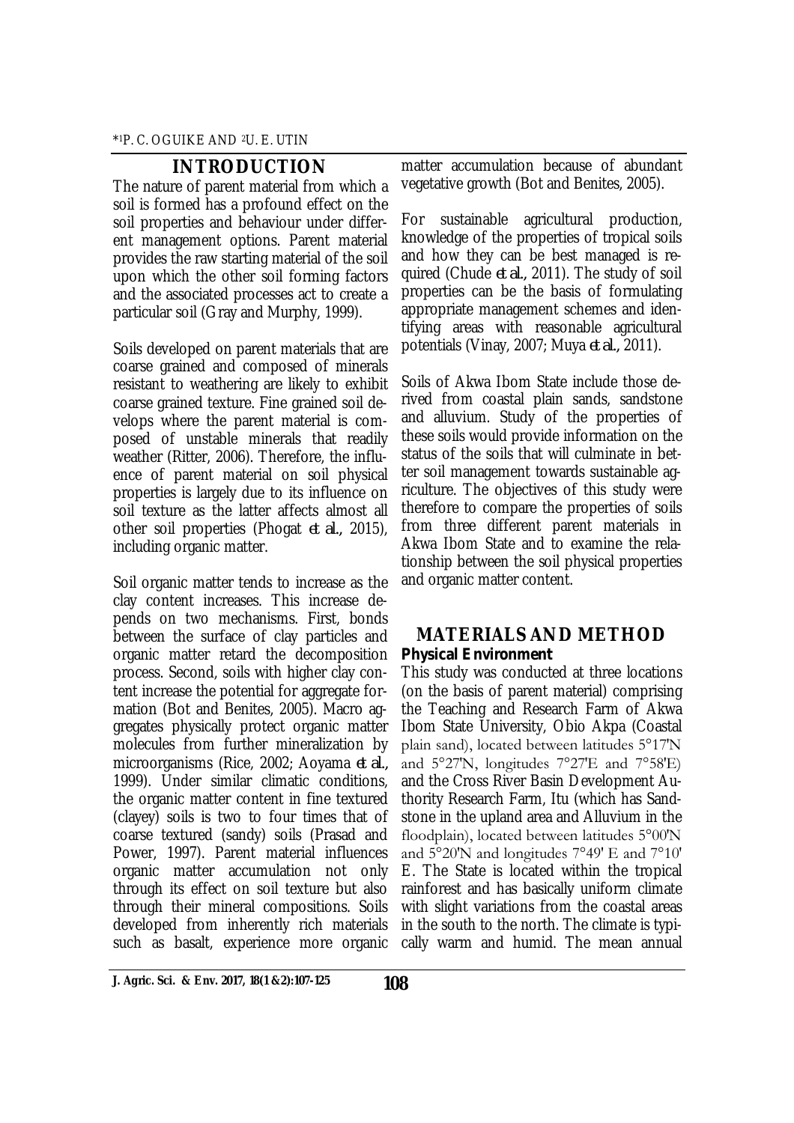### **INTRODUCTION**

The nature of parent material from which a soil is formed has a profound effect on the soil properties and behaviour under different management options. Parent material provides the raw starting material of the soil upon which the other soil forming factors and the associated processes act to create a particular soil (Gray and Murphy, 1999).

Soils developed on parent materials that are coarse grained and composed of minerals resistant to weathering are likely to exhibit coarse grained texture. Fine grained soil develops where the parent material is composed of unstable minerals that readily weather (Ritter, 2006). Therefore, the influence of parent material on soil physical properties is largely due to its influence on soil texture as the latter affects almost all other soil properties (Phogat *et al.,* 2015), including organic matter.

Soil organic matter tends to increase as the clay content increases. This increase depends on two mechanisms. First, bonds between the surface of clay particles and organic matter retard the decomposition process. Second, soils with higher clay content increase the potential for aggregate formation (Bot and Benites, 2005). Macro aggregates physically protect organic matter molecules from further mineralization by microorganisms (Rice, 2002; Aoyama *et al.,* 1999). Under similar climatic conditions, the organic matter content in fine textured (clayey) soils is two to four times that of coarse textured (sandy) soils (Prasad and Power, 1997). Parent material influences organic matter accumulation not only through its effect on soil texture but also through their mineral compositions. Soils developed from inherently rich materials such as basalt, experience more organic

matter accumulation because of abundant vegetative growth (Bot and Benites, 2005).

For sustainable agricultural production, knowledge of the properties of tropical soils and how they can be best managed is required (Chude *et al.,* 2011). The study of soil properties can be the basis of formulating appropriate management schemes and identifying areas with reasonable agricultural potentials (Vinay, 2007; Muya *et al.,* 2011).

Soils of Akwa Ibom State include those derived from coastal plain sands, sandstone and alluvium. Study of the properties of these soils would provide information on the status of the soils that will culminate in better soil management towards sustainable agriculture. The objectives of this study were therefore to compare the properties of soils from three different parent materials in Akwa Ibom State and to examine the relationship between the soil physical properties and organic matter content.

### **MATERIALS AND METHOD** *Physical Environment*

This study was conducted at three locations (on the basis of parent material) comprising the Teaching and Research Farm of Akwa Ibom State University, Obio Akpa (Coastal plain sand), located between latitudes 5°17′N and 5°27′N, longitudes 7°27′E and 7°58′E) and the Cross River Basin Development Authority Research Farm, Itu (which has Sandstone in the upland area and Alluvium in the floodplain), located between latitudes 5°00′N and 5°20′N and longitudes 7°49′ E and 7°10′ E. The State is located within the tropical rainforest and has basically uniform climate with slight variations from the coastal areas in the south to the north. The climate is typically warm and humid. The mean annual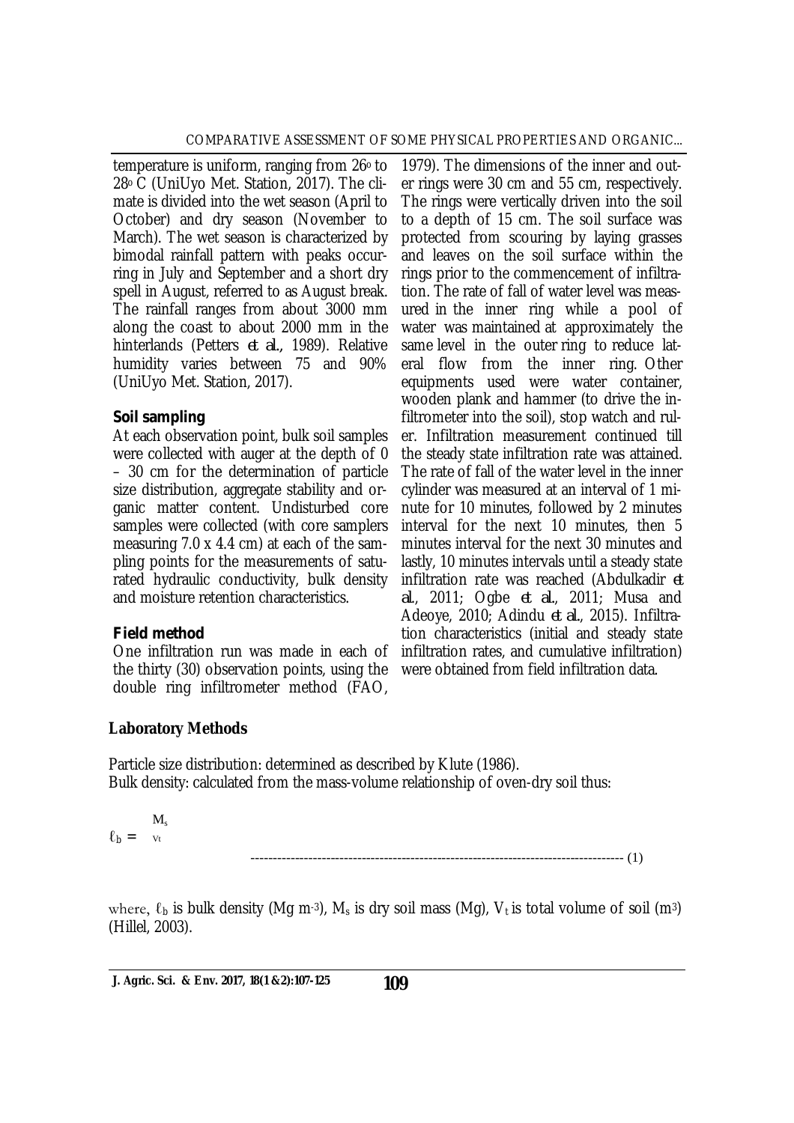temperature is uniform, ranging from 26° to 28o C (UniUyo Met. Station, 2017). The climate is divided into the wet season (April to October) and dry season (November to March). The wet season is characterized by bimodal rainfall pattern with peaks occurring in July and September and a short dry spell in August, referred to as August break. The rainfall ranges from about 3000 mm along the coast to about 2000 mm in the hinterlands (Petters *et al.,* 1989). Relative humidity varies between 75 and 90% (UniUyo Met. Station, 2017).

### *Soil sampling*

At each observation point, bulk soil samples were collected with auger at the depth of 0 – 30 cm for the determination of particle size distribution, aggregate stability and organic matter content. Undisturbed core samples were collected (with core samplers measuring 7.0 x 4.4 cm) at each of the sampling points for the measurements of saturated hydraulic conductivity, bulk density and moisture retention characteristics.

## *Field method*

One infiltration run was made in each of the thirty (30) observation points, using the double ring infiltrometer method (FAO,

1979). The dimensions of the inner and outer rings were 30 cm and 55 cm, respectively. The rings were vertically driven into the soil to a depth of 15 cm. The soil surface was protected from scouring by laying grasses and leaves on the soil surface within the rings prior to the commencement of infiltration. The rate of fall of water level was measured in the inner ring while a pool of water was maintained at approximately the same level in the outer ring to reduce lateral flow from the inner ring. Other equipments used were water container, wooden plank and hammer (to drive the infiltrometer into the soil), stop watch and ruler. Infiltration measurement continued till the steady state infiltration rate was attained. The rate of fall of the water level in the inner cylinder was measured at an interval of 1 minute for 10 minutes, followed by 2 minutes interval for the next 10 minutes, then 5 minutes interval for the next 30 minutes and lastly, 10 minutes intervals until a steady state infiltration rate was reached (Abdulkadir *et al*., 2011; Ogbe *et al.*, 2011; Musa and Adeoye, 2010; Adindu *et al.*, 2015). Infiltration characteristics (initial and steady state infiltration rates, and cumulative infiltration) were obtained from field infiltration data.

## **Laboratory Methods**

Particle size distribution: determined as described by Klute (1986). Bulk density: calculated from the mass-volume relationship of oven-dry soil thus:

 $\ell_{\mathsf{b}} = v_{\mathsf{t}}$  $M_{s}$ 

### ------------------------------------------------------------------------------------ (1)

where,  $\ell_b$  is bulk density (Mg m-3), M<sub>s</sub> is dry soil mass (Mg), V<sub>t</sub> is total volume of soil (m<sup>3</sup>) (Hillel, 2003).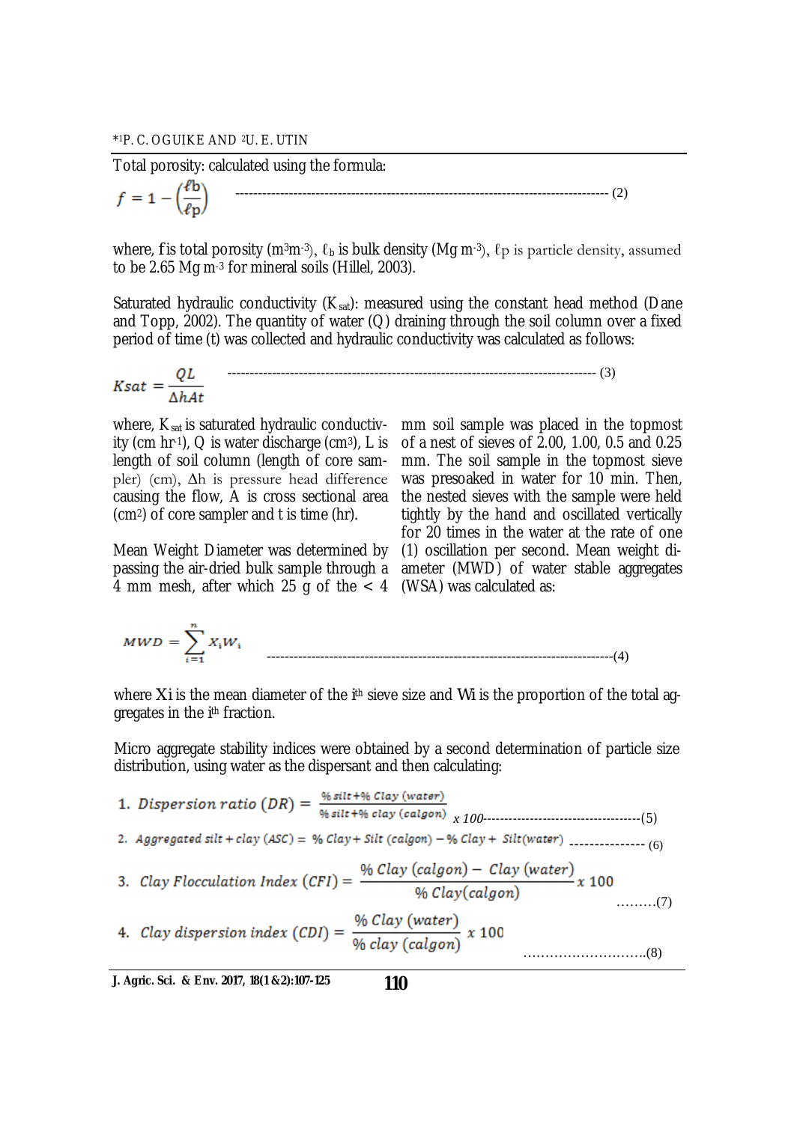Total porosity: calculated using the formula:

$$
f = 1 - \left(\frac{\ell b}{\ell p}\right) \tag{2}
$$

where, *f* is total porosity (m<sup>3</sup>m<sup>-3</sup>),  $\ell_b$  is bulk density (Mg m<sup>-3</sup>),  $\ell_p$  is particle density, assumed to be 2.65 Mg m-3 for mineral soils (Hillel, 2003).

Saturated hydraulic conductivity  $(K_{sat})$ : measured using the constant head method (Dane and Topp, 2002). The quantity of water  $(Q)$  draining through the soil column over a fixed period of time (t) was collected and hydraulic conductivity was calculated as follows:

$$
Ksat = \frac{QL}{\Delta hAt}
$$
 (3)

where,  $K_{sat}$  is saturated hydraulic conductivity (cm hr $\cdot$ 1), Q is water discharge (cm $\cdot$ 3), L is length of soil column (length of core sampler) (cm), ∆h is pressure head difference causing the flow, A is cross sectional area (cm2) of core sampler and t is time (hr).

Mean Weight Diameter was determined by passing the air-dried bulk sample through a 4 mm mesh, after which 25 g of the < 4 (WSA) was calculated as:

mm soil sample was placed in the topmost of a nest of sieves of 2.00, 1.00, 0.5 and 0.25 mm. The soil sample in the topmost sieve was presoaked in water for 10 min. Then, the nested sieves with the sample were held tightly by the hand and oscillated vertically for 20 times in the water at the rate of one (1) oscillation per second. Mean weight diameter (MWD) of water stable aggregates

$$
MWD = \sum_{i=1}^{n} X_i W_i
$$
 (4)

where *Xi* is the mean diameter of the *i*<sup>th</sup> sieve size and *Wi* is the proportion of the total aggregates in the *i* th fraction.

Micro aggregate stability indices were obtained by a second determination of particle size distribution, using water as the dispersant and then calculating:

*x 100-------------------------------------(5) ---------------* (6) ………(7) ……………………….(8)

**J. Agric. Sci. & Env. 2017, 18(1 &2):107-125**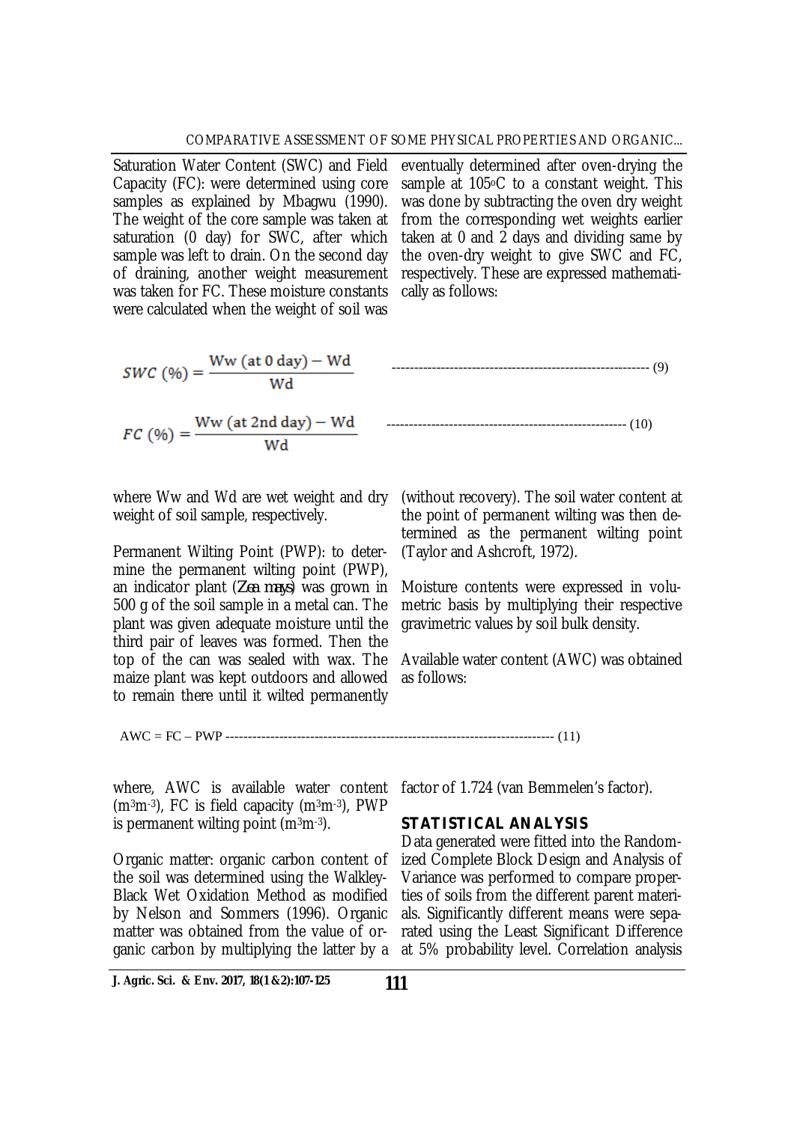Saturation Water Content (SWC) and Field Capacity (FC): were determined using core samples as explained by Mbagwu (1990). The weight of the core sample was taken at saturation (0 day) for SWC, after which sample was left to drain. On the second day of draining, another weight measurement was taken for FC. These moisture constants were calculated when the weight of soil was

eventually determined after oven-drying the sample at 105 $\circ$ C to a constant weight. This was done by subtracting the oven dry weight from the corresponding wet weights earlier taken at 0 and 2 days and dividing same by the oven-dry weight to give SWC and FC, respectively. These are expressed mathematically as follows:

$$
SWC (96) = \frac{Ww (at 0 day) - Wd}{Wd}
$$
 (9)  
FC (96) =  $\frac{Ww (at 2nd day) - Wd}{Wd}$  (10)

where Ww and Wd are wet weight and dry weight of soil sample, respectively.

Permanent Wilting Point (PWP): to determine the permanent wilting point (PWP), an indicator plant (*Zea mays*) was grown in 500 g of the soil sample in a metal can. The plant was given adequate moisture until the third pair of leaves was formed. Then the top of the can was sealed with wax. The maize plant was kept outdoors and allowed to remain there until it wilted permanently

(without recovery). The soil water content at the point of permanent wilting was then determined as the permanent wilting point (Taylor and Ashcroft, 1972).

Moisture contents were expressed in volumetric basis by multiplying their respective gravimetric values by soil bulk density.

Available water content (AWC) was obtained as follows:

AWC = FC – PWP -------------------------------------------------------------------------- (11)

where, AWC is available water content f  $(m<sup>3</sup>m<sup>-3</sup>)$ , FC is field capacity  $(m<sup>3</sup>m<sup>-3</sup>)$ , PWP is permanent wilting point  $(m<sup>3</sup>m<sup>-3</sup>)$ .

Organic matter: organic carbon content of the soil was determined using the Walkley-Black Wet Oxidation Method as modified by Nelson and Sommers (1996). Organic matter was obtained from the value of organic carbon by multiplying the latter by a at 5% probability level. Correlation analysis

**J. Agric. Sci. & Env. 2017, 18(1 &2):107-125**

factor of 1.724 (van Bemmelen's factor).

## *STATISTICAL ANALYSIS*

Data generated were fitted into the Randomized Complete Block Design and Analysis of Variance was performed to compare properties of soils from the different parent materials. Significantly different means were separated using the Least Significant Difference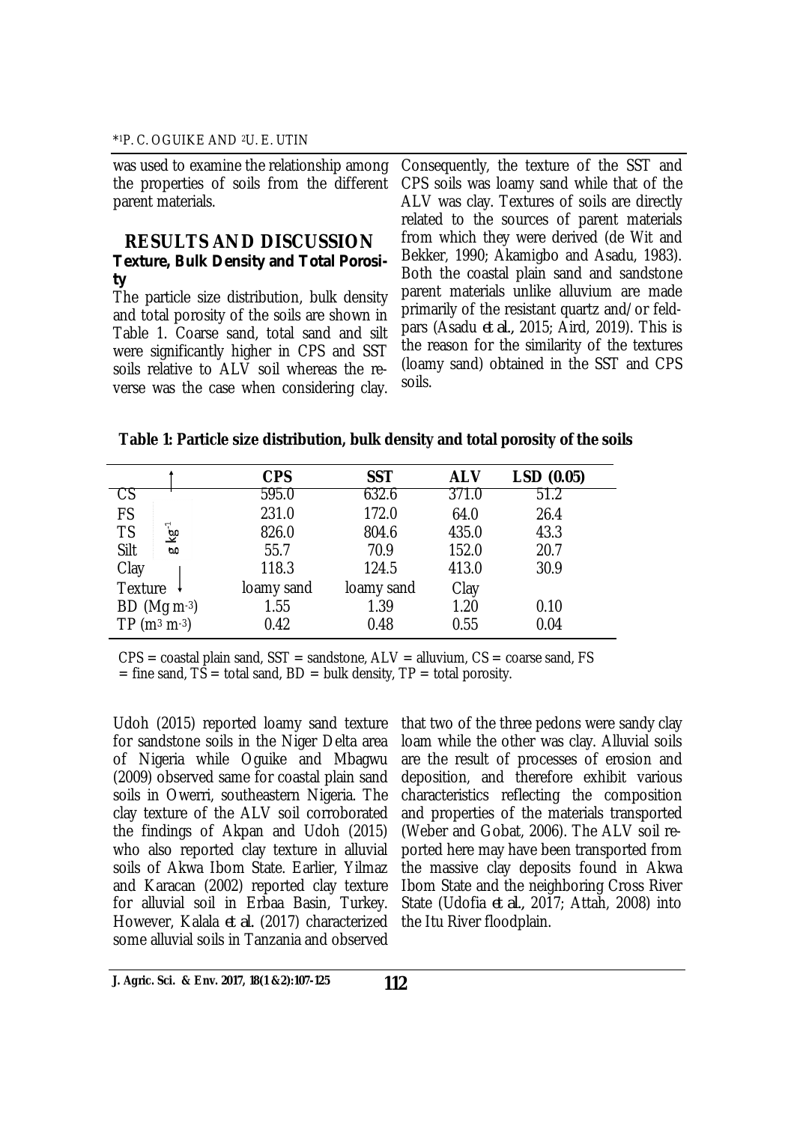was used to examine the relationship among the properties of soils from the different parent materials.

### **RESULTS AND DISCUSSION** *Texture, Bulk Density and Total Porosity*

The particle size distribution, bulk density and total porosity of the soils are shown in Table 1. Coarse sand, total sand and silt were significantly higher in CPS and SST soils relative to ALV soil whereas the reverse was the case when considering clay.

Consequently, the texture of the SST and CPS soils was loamy sand while that of the ALV was clay. Textures of soils are directly related to the sources of parent materials from which they were derived (de Wit and Bekker, 1990; Akamigbo and Asadu, 1983). Both the coastal plain sand and sandstone parent materials unlike alluvium are made primarily of the resistant quartz and/or feldpars (Asadu *et al.,* 2015; Aird, 2019). This is the reason for the similarity of the textures (loamy sand) obtained in the SST and CPS soils.

| Table 1: Particle size distribution, bulk density and total porosity of the soils |  |  |
|-----------------------------------------------------------------------------------|--|--|
|-----------------------------------------------------------------------------------|--|--|

|                                   | <b>CPS</b> | <b>SST</b> | <b>ALV</b> | LSD(0.05) |
|-----------------------------------|------------|------------|------------|-----------|
|                                   | 595.0      | 632.6      | 371.0      | 51.2      |
| FS                                | 231.0      | 172.0      | 64.0       | 26.4      |
| $\mathcal{L}$<br><b>TS</b><br>৩়ু | 826.0      | 804.6      | 435.0      | 43.3      |
| Silt<br>00                        | 55.7       | 70.9       | 152.0      | 20.7      |
| Clay                              | 118.3      | 124.5      | 413.0      | 30.9      |
| Texture                           | loamy sand | loamy sand | Clay       |           |
| $BD (Mg m-3)$                     | 1.55       | 1.39       | 1.20       | 0.10      |
| $TP(m3 m-3)$                      | 0.42       | 0.48       | 0.55       | 0.04      |

 $CPS =$  coastal plain sand,  $SST =$  sandstone,  $ALV =$  alluvium,  $CS =$  coarse sand, FS  $=$  fine sand, TS  $=$  total sand, BD  $=$  bulk density, TP  $=$  total porosity.

Udoh (2015) reported loamy sand texture for sandstone soils in the Niger Delta area of Nigeria while Oguike and Mbagwu (2009) observed same for coastal plain sand soils in Owerri, southeastern Nigeria. The clay texture of the ALV soil corroborated the findings of Akpan and Udoh (2015) who also reported clay texture in alluvial soils of Akwa Ibom State. Earlier, Yilmaz and Karacan (2002) reported clay texture for alluvial soil in Erbaa Basin, Turkey. However, Kalala *et al.* (2017) characterized some alluvial soils in Tanzania and observed

that two of the three pedons were sandy clay loam while the other was clay. Alluvial soils are the result of processes of erosion and deposition, and therefore exhibit various characteristics reflecting the composition and properties of the materials transported (Weber and Gobat, 2006). The ALV soil reported here may have been transported from the massive clay deposits found in Akwa Ibom State and the neighboring Cross River State (Udofia *et al.,* 2017; Attah, 2008) into the Itu River floodplain.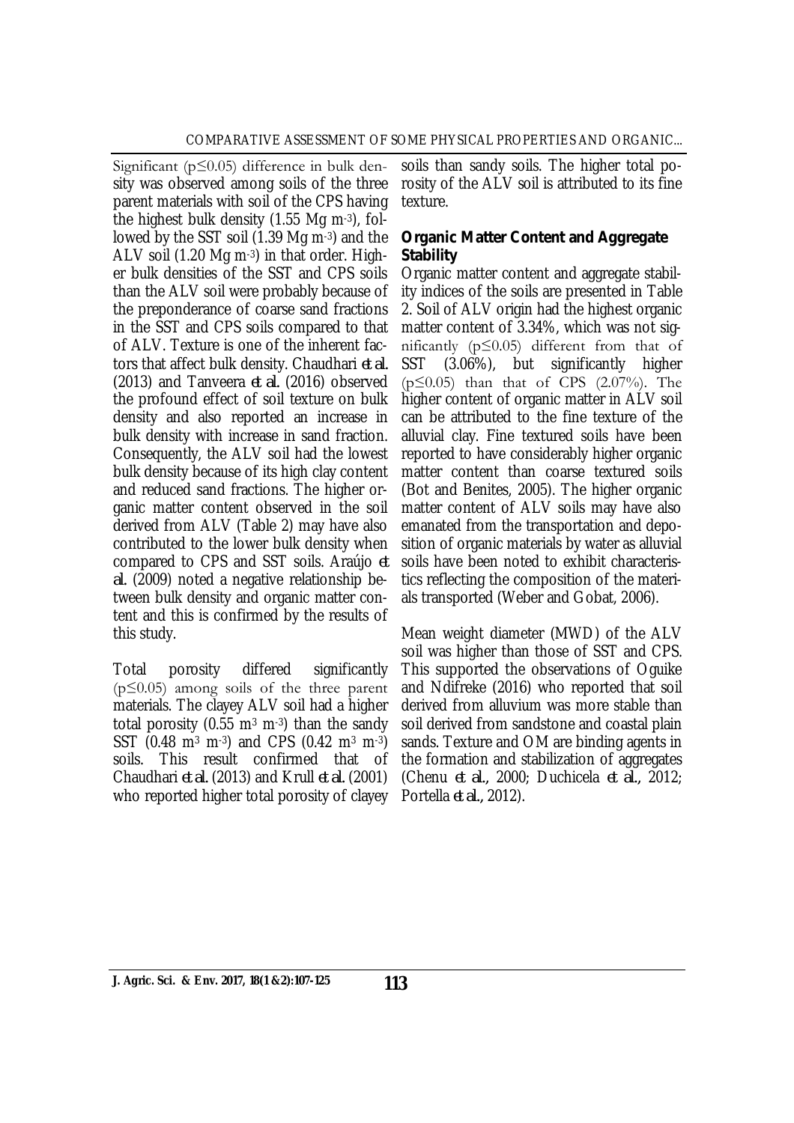Significant (p≤0.05) difference in bulk density was observed among soils of the three parent materials with soil of the CPS having the highest bulk density (1.55 Mg m-3), followed by the SST soil (1.39 Mg m-3) and the ALV soil (1.20 Mg m-3) in that order. Higher bulk densities of the SST and CPS soils than the ALV soil were probably because of the preponderance of coarse sand fractions in the SST and CPS soils compared to that of ALV. Texture is one of the inherent factors that affect bulk density. Chaudhari *et al.* (2013) and Tanveera *et al.* (2016) observed the profound effect of soil texture on bulk density and also reported an increase in bulk density with increase in sand fraction. Consequently, the ALV soil had the lowest bulk density because of its high clay content and reduced sand fractions. The higher organic matter content observed in the soil derived from ALV (Table 2) may have also contributed to the lower bulk density when compared to CPS and SST soils. Araújo *et al.* (2009) noted a negative relationship between bulk density and organic matter content and this is confirmed by the results of this study.

Total porosity differed significantly (p≤0.05) among soils of the three parent materials. The clayey ALV soil had a higher total porosity (0.55  $\text{m}^3$  m<sup>-3</sup>) than the sandy SST (0.48 m<sup>3</sup> m-3) and CPS (0.42 m<sup>3</sup> m-3) soils. This result confirmed that of Chaudhari *et al.* (2013) and Krull *et al.* (2001) who reported higher total porosity of clayey

soils than sandy soils. The higher total porosity of the ALV soil is attributed to its fine texture.

### *Organic Matter Content and Aggregate Stability*

Organic matter content and aggregate stability indices of the soils are presented in Table 2. Soil of ALV origin had the highest organic matter content of 3.34%, which was not significantly (p≤0.05) different from that of SST (3.06%), but significantly higher  $(p \le 0.05)$  than that of CPS  $(2.07\%)$ . The higher content of organic matter in ALV soil can be attributed to the fine texture of the alluvial clay. Fine textured soils have been reported to have considerably higher organic matter content than coarse textured soils (Bot and Benites, 2005). The higher organic matter content of ALV soils may have also emanated from the transportation and deposition of organic materials by water as alluvial soils have been noted to exhibit characteristics reflecting the composition of the materials transported (Weber and Gobat, 2006).

Mean weight diameter (MWD) of the ALV soil was higher than those of SST and CPS. This supported the observations of Oguike and Ndifreke (2016) who reported that soil derived from alluvium was more stable than soil derived from sandstone and coastal plain sands. Texture and OM are binding agents in the formation and stabilization of aggregates (Chenu *et al.,* 2000; Duchicela *et al.,* 2012; Portella *et al.,* 2012).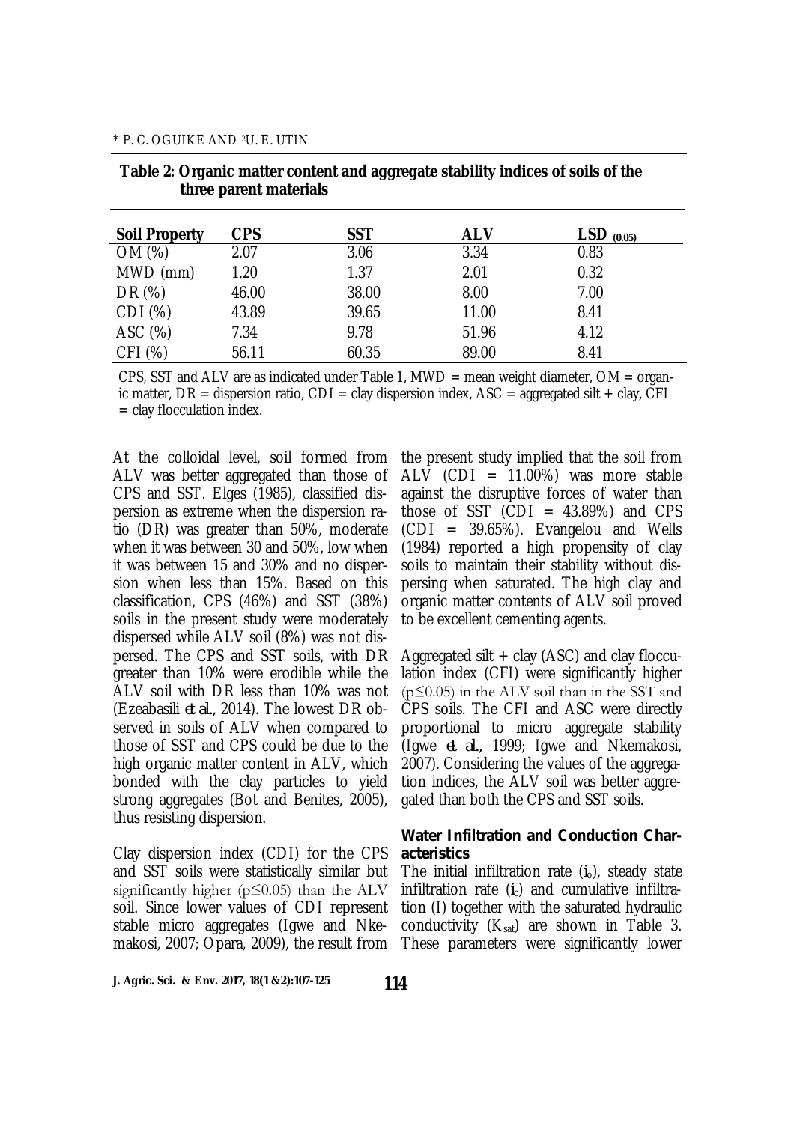| <b>Soil Property</b> | <b>CPS</b> | <b>SST</b> | <b>ALV</b> | $LSD$ (0.05) |
|----------------------|------------|------------|------------|--------------|
| OM (%)               | 2.07       | 3.06       | 3.34       | 0.83         |
| MWD (mm)             | 1.20       | 1.37       | 2.01       | 0.32         |
| DR (%)               | 46.00      | 38.00      | 8.00       | 7.00         |
| CDI (%)              | 43.89      | 39.65      | 11.00      | 8.41         |
| ASC (%)              | 7.34       | 9.78       | 51.96      | 4.12         |
| CFI (%)              | 56.11      | 60.35      | 89.00      | 8.41         |

|                        | Table 2: Organic matter content and aggregate stability indices of soils of the |
|------------------------|---------------------------------------------------------------------------------|
| three parent materials |                                                                                 |

CPS, SST and ALV are as indicated under Table 1, MWD = mean weight diameter,  $OM = \text{organ}$ ic matter,  $DR =$  dispersion ratio,  $CDI =$  clay dispersion index,  $ASC =$  aggregated silt + clay,  $CFI$ = clay flocculation index.

At the colloidal level, soil formed from ALV was better aggregated than those of CPS and SST. Elges (1985), classified dispersion as extreme when the dispersion ratio (DR) was greater than 50%, moderate when it was between 30 and 50%, low when it was between 15 and 30% and no dispersion when less than 15%. Based on this classification, CPS (46%) and SST (38%) soils in the present study were moderately dispersed while ALV soil (8%) was not dispersed. The CPS and SST soils, with DR greater than 10% were erodible while the ALV soil with DR less than 10% was not (Ezeabasili *et al.,* 2014). The lowest DR observed in soils of ALV when compared to those of SST and CPS could be due to the high organic matter content in ALV, which bonded with the clay particles to yield strong aggregates (Bot and Benites, 2005), thus resisting dispersion.

Clay dispersion index (CDI) for the CPS and SST soils were statistically similar but significantly higher ( $p \leq 0.05$ ) than the ALV soil. Since lower values of CDI represent stable micro aggregates (Igwe and Nkemakosi, 2007; Opara, 2009), the result from These parameters were significantly lower

the present study implied that the soil from  $ALV$  (CDI = 11.00%) was more stable against the disruptive forces of water than those of SST  $(CDI = 43.89%)$  and CPS (CDI = 39.65%). Evangelou and Wells (1984) reported a high propensity of clay soils to maintain their stability without dispersing when saturated. The high clay and organic matter contents of ALV soil proved to be excellent cementing agents.

Aggregated silt  $+$  clay (ASC) and clay flocculation index (CFI) were significantly higher  $(p \le 0.05)$  in the ALV soil than in the SST and CPS soils. The CFI and ASC were directly proportional to micro aggregate stability (Igwe *et al.,* 1999; Igwe and Nkemakosi, 2007). Considering the values of the aggregation indices, the ALV soil was better aggregated than both the CPS and SST soils.

### *Water Infiltration and Conduction Characteristics*

The initial infiltration rate (*i*o), steady state infiltration rate  $(i<sub>c</sub>)$  and cumulative infiltration (I) together with the saturated hydraulic conductivity  $(K_{sat})$  are shown in Table 3.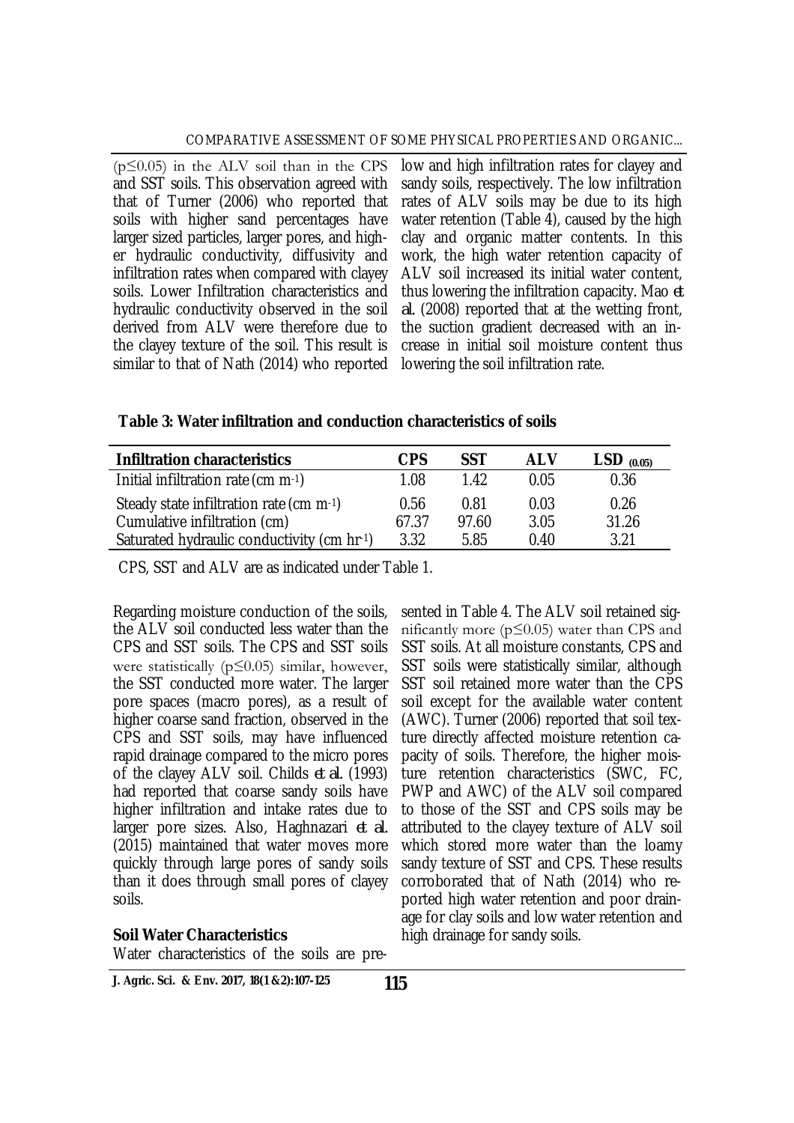$(p \le 0.05)$  in the ALV soil than in the CPS and SST soils. This observation agreed with that of Turner (2006) who reported that soils with higher sand percentages have larger sized particles, larger pores, and higher hydraulic conductivity, diffusivity and infiltration rates when compared with clayey soils. Lower Infiltration characteristics and hydraulic conductivity observed in the soil derived from ALV were therefore due to the clayey texture of the soil. This result is similar to that of Nath (2014) who reported

low and high infiltration rates for clayey and sandy soils, respectively. The low infiltration rates of ALV soils may be due to its high water retention (Table 4), caused by the high clay and organic matter contents. In this work, the high water retention capacity of ALV soil increased its initial water content, thus lowering the infiltration capacity. Mao *et al.* (2008) reported that at the wetting front, the suction gradient decreased with an increase in initial soil moisture content thus lowering the soil infiltration rate.

**Table 3: Water infiltration and conduction characteristics of soils** 

| <b>Infiltration characteristics</b>        | <b>CPS</b> | SST   | <b>ALV</b> | $LSD$ (0.05) |
|--------------------------------------------|------------|-------|------------|--------------|
| Initial infiltration rate (cm $m-1$ )      | 1.08       | 1.42  | 0.05       | 0.36         |
| Steady state infiltration rate (cm $m-1$ ) | 0.56       | 0.81  | 0.03       | 0.26         |
| Cumulative infiltration (cm)               | 67.37      | 97.60 | 3.05       | 31.26        |
| Saturated hydraulic conductivity (cm hr-1) | 3.32       | 5.85  | 0.40       | 3.21         |

CPS, SST and ALV are as indicated under Table 1.

Regarding moisture conduction of the soils, the ALV soil conducted less water than the CPS and SST soils. The CPS and SST soils were statistically (p≤0.05) similar, however, the SST conducted more water. The larger pore spaces (macro pores), as a result of higher coarse sand fraction, observed in the CPS and SST soils, may have influenced rapid drainage compared to the micro pores of the clayey ALV soil. Childs *et al.* (1993) had reported that coarse sandy soils have higher infiltration and intake rates due to larger pore sizes. Also, Haghnazari *et al.* (2015) maintained that water moves more quickly through large pores of sandy soils than it does through small pores of clayey soils.

#### **Soil Water Characteristics**

Water characteristics of the soils are pre-

**J. Agric. Sci. & Env. 2017, 18(1 &2):107-125**

sented in Table 4. The ALV soil retained significantly more (p≤0.05) water than CPS and SST soils. At all moisture constants, CPS and SST soils were statistically similar, although SST soil retained more water than the CPS soil except for the available water content (AWC). Turner (2006) reported that soil texture directly affected moisture retention capacity of soils. Therefore, the higher moisture retention characteristics (SWC, FC, PWP and AWC) of the ALV soil compared to those of the SST and CPS soils may be attributed to the clayey texture of ALV soil which stored more water than the loamy sandy texture of SST and CPS. These results corroborated that of Nath (2014) who reported high water retention and poor drainage for clay soils and low water retention and high drainage for sandy soils.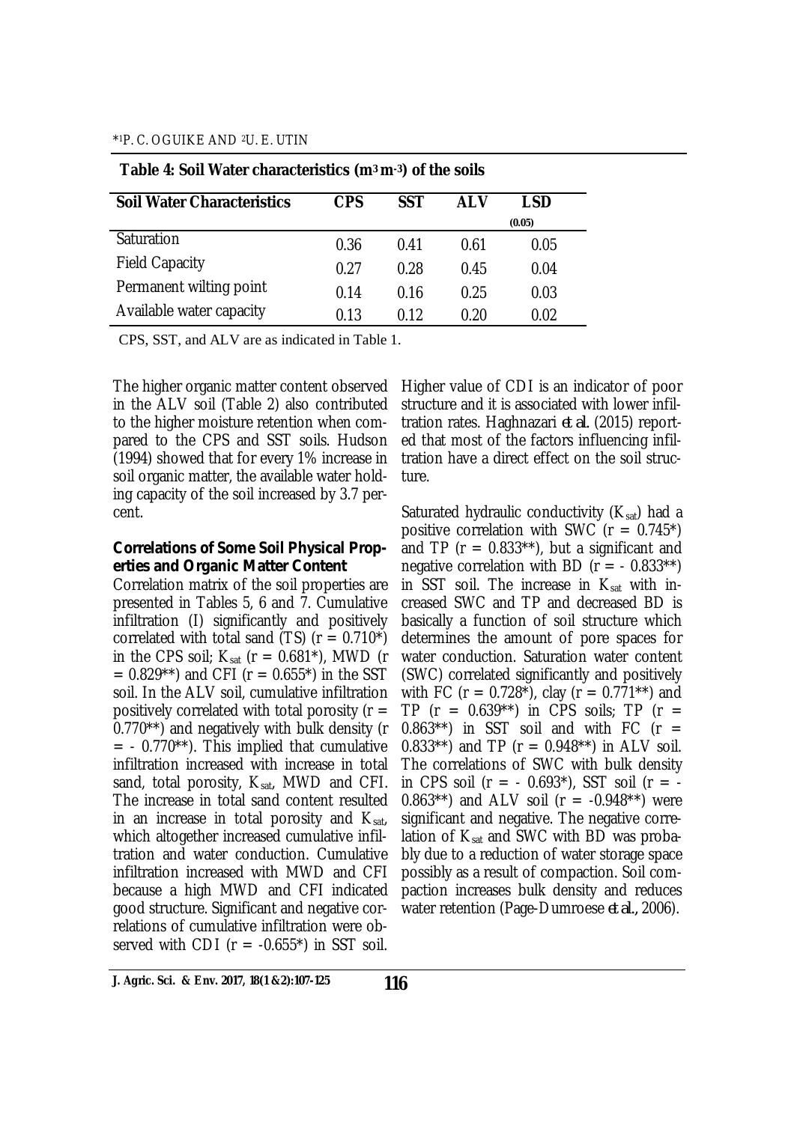| <b>Soil Water Characteristics</b> | <b>CPS</b> | <b>SST</b> | <b>ALV</b> | LSD    |  |
|-----------------------------------|------------|------------|------------|--------|--|
|                                   |            |            |            | (0.05) |  |
| Saturation                        | 0.36       | 0.41       | 0.61       | 0.05   |  |
| <b>Field Capacity</b>             | 0.27       | 0.28       | 0.45       | 0.04   |  |
| Permanent wilting point           | 0.14       | 0.16       | 0.25       | 0.03   |  |
| Available water capacity          | 0.13       | በ 12       | 0.20       | 0.02   |  |

#### **Table 4: Soil Water characteristics (m3 m-3) of the soils**

CPS, SST, and ALV are as indicated in Table 1.

The higher organic matter content observed in the ALV soil (Table 2) also contributed to the higher moisture retention when compared to the CPS and SST soils. Hudson (1994) showed that for every 1% increase in soil organic matter, the available water holding capacity of the soil increased by 3.7 percent.

#### *Correlations of Some Soil Physical Properties and Organic Matter Content*

Correlation matrix of the soil properties are presented in Tables 5, 6 and 7. Cumulative infiltration (I) significantly and positively correlated with total sand (TS)  $(r = 0.710<sup>*</sup>)$ in the CPS soil;  $K_{sat}$  (r = 0.681<sup>\*</sup>), MWD (r  $= 0.829**$ ) and CFI (r  $= 0.655*$ ) in the SST soil. In the ALV soil, cumulative infiltration positively correlated with total porosity ( $r =$ 0.770\*\*) and negatively with bulk density (r  $=$  - 0.770\*\*). This implied that cumulative infiltration increased with increase in total sand, total porosity,  $K_{sat}$ , MWD and CFI. The increase in total sand content resulted in an increase in total porosity and  $K_{sat}$ , which altogether increased cumulative infiltration and water conduction. Cumulative infiltration increased with MWD and CFI because a high MWD and CFI indicated good structure. Significant and negative correlations of cumulative infiltration were observed with CDI ( $r = -0.655$ <sup>\*</sup>) in SST soil.

Higher value of CDI is an indicator of poor structure and it is associated with lower infiltration rates. Haghnazari *et al.* (2015) reported that most of the factors influencing infiltration have a direct effect on the soil structure.

Saturated hydraulic conductivity  $(K_{sat})$  had a positive correlation with SWC  $(r = 0.745^*)$ and TP ( $r = 0.833**$ ), but a significant and negative correlation with BD ( $r = -0.833**$ ) in SST soil. The increase in  $K_{sat}$  with increased SWC and TP and decreased BD is basically a function of soil structure which determines the amount of pore spaces for water conduction. Saturation water content (SWC) correlated significantly and positively with FC (r =  $0.728^*$ ), clay (r =  $0.771^{**}$ ) and TP ( $r = 0.639**$ ) in CPS soils; TP ( $r =$ 0.863\*\*) in SST soil and with FC  $(r =$ 0.833\*\*) and TP ( $r = 0.948**$ ) in ALV soil. The correlations of SWC with bulk density in CPS soil ( $r = -0.693$ <sup>\*</sup>), SST soil ( $r = -$ 0.863\*\*) and ALV soil ( $r = -0.948**$ ) were significant and negative. The negative correlation of  $K_{sat}$  and SWC with BD was probably due to a reduction of water storage space possibly as a result of compaction. Soil compaction increases bulk density and reduces water retention (Page-Dumroese *et al.,* 2006).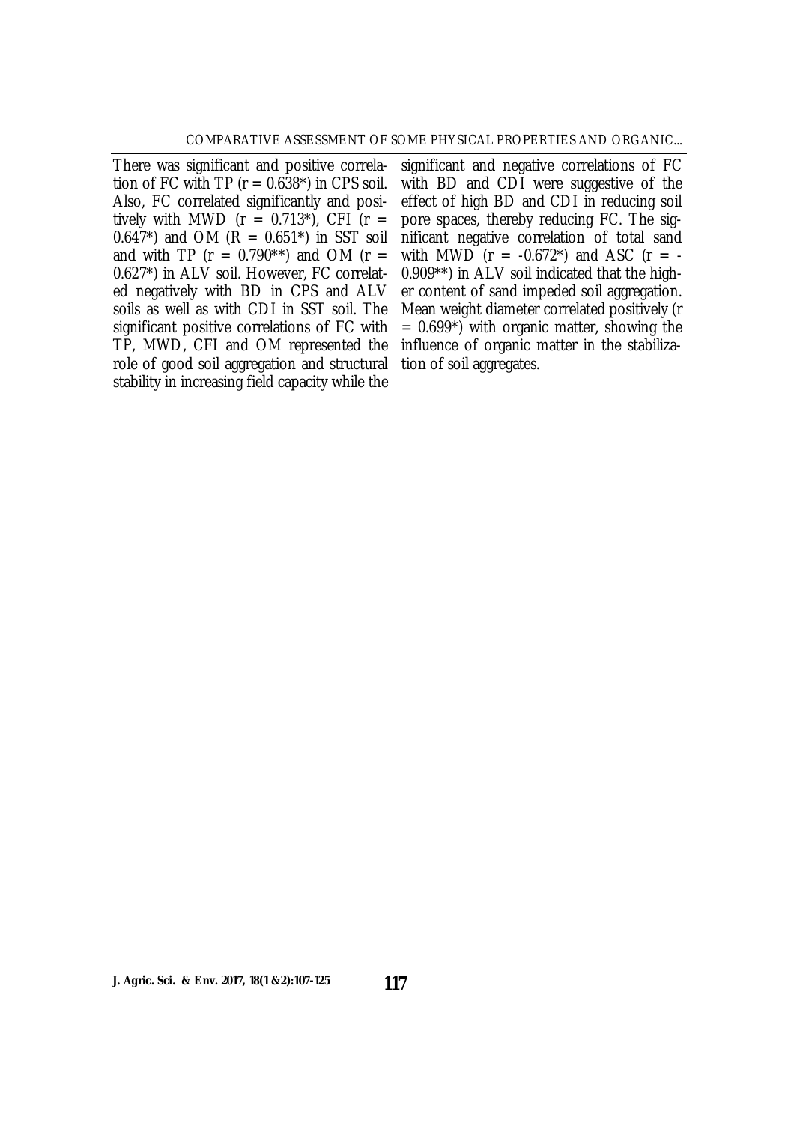There was significant and positive correlation of FC with TP ( $r = 0.638$ <sup>\*</sup>) in CPS soil. Also, FC correlated significantly and positively with MWD ( $r = 0.713$ <sup>\*</sup>), CFI ( $r =$ 0.647\*) and OM  $(R = 0.651<sup>*</sup>)$  in SST soil and with TP ( $r = 0.790**$ ) and OM ( $r =$ 0.627\*) in ALV soil. However, FC correlated negatively with BD in CPS and ALV soils as well as with CDI in SST soil. The significant positive correlations of FC with TP, MWD, CFI and OM represented the role of good soil aggregation and structural stability in increasing field capacity while the

significant and negative correlations of FC with BD and CDI were suggestive of the effect of high BD and CDI in reducing soil pore spaces, thereby reducing FC. The significant negative correlation of total sand with MWD ( $r = -0.672$ <sup>\*</sup>) and ASC ( $r = -$ 0.909\*\*) in ALV soil indicated that the higher content of sand impeded soil aggregation. Mean weight diameter correlated positively (r  $= 0.699<sup>*</sup>$ ) with organic matter, showing the influence of organic matter in the stabilization of soil aggregates.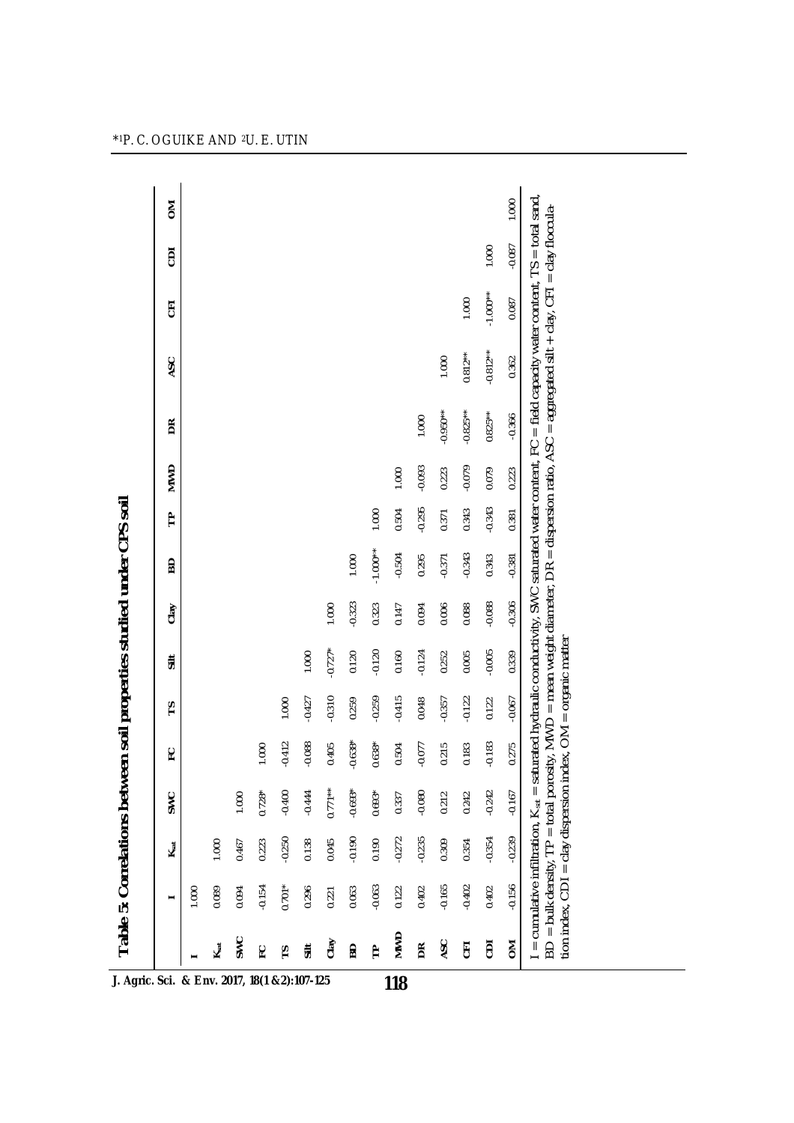|                |          | Ksat     | SWC       | ဥ         | rs       | $\ddot{=}$ | Clay     | 6D         | ᡛ        | <b>NWD</b> | BŘ         | ASC        | 5          | ā        | š     |
|----------------|----------|----------|-----------|-----------|----------|------------|----------|------------|----------|------------|------------|------------|------------|----------|-------|
|                | 1.000    |          |           |           |          |            |          |            |          |            |            |            |            |          |       |
| $K_{sat}$      | 0.089    | 1.000    |           |           |          |            |          |            |          |            |            |            |            |          |       |
| SWC            | 0.094    | 0.467    | 1.000     |           |          |            |          |            |          |            |            |            |            |          |       |
| ပူ             | $-0.154$ | 0.223    | $0.728*$  | 1.000     |          |            |          |            |          |            |            |            |            |          |       |
| 51             | $0.701*$ | $-0.250$ | $-0.400$  | $-0.412$  | 1.000    |            |          |            |          |            |            |            |            |          |       |
| $\ddot{=}$     | 0.296    | 0.138    | $-0.444$  | $-0.088$  | $-0.427$ | 1.000      |          |            |          |            |            |            |            |          |       |
| Clay           | 0.221    | 0.045    | $0.771**$ | 0.405     | $-0.310$ | $-0.727*$  | 1.000    |            |          |            |            |            |            |          |       |
| BD             | 0.063    | $-0.190$ | $-0.693*$ | $-0.638*$ | 0.259    | 0.120      | $-0.323$ | 1.000      |          |            |            |            |            |          |       |
| Ê              | $-0.063$ | 0.190    | $0.693*$  | $0.638*$  | $-0.259$ | $-0.120$   | 0.323    | $-1.000**$ | 1.000    |            |            |            |            |          |       |
| <b>NWD</b>     | 0.122    | $-0.272$ | 0.337     | 0.504     | $-0.415$ | 0.160      | 0.147    | $-0.504$   | 0.504    | 1.000      |            |            |            |          |       |
| ΒŘ             | 0.402    | $-0.235$ | $-0.080$  | $-0.077$  | 0.048    | $-0.124$   | 0.094    | 0.295      | $-0.295$ | $-0.093$   | 1.000      |            |            |          |       |
| ASC            | $-0.165$ | 0.309    | 0.212     | 0.215     | $-0.357$ | 0.252      | 0.006    | $-0.371$   | 0.371    | 0.223      | $-0.950**$ | 1.000      |            |          |       |
| $\overline{5}$ | $-0.402$ | 0.354    | 0.242     | 0.183     | $-0.122$ | 0.005      | 0.088    | $-0.343$   | 0.343    | $-0.079$   | $-0.825**$ | $0.812***$ | 1.000      |          |       |
| ā              | 0.402    | $-0.354$ | $-0.242$  | $-0.183$  | 0.122    | $-0.005$   | $-0.088$ | 0.343      | $-0.343$ | 0.079      | $0.825***$ | $-0.812**$ | $-1.000**$ | 1.000    |       |
| δ              | $-0.156$ | $-0.239$ | $-0.167$  | 0.275     | $-0.067$ | 0.339      | $-0.306$ | $-0.381$   | 0.381    | 0.223      | $-0.366$   | 0.362      | 0.087      | $-0.087$ | 1.000 |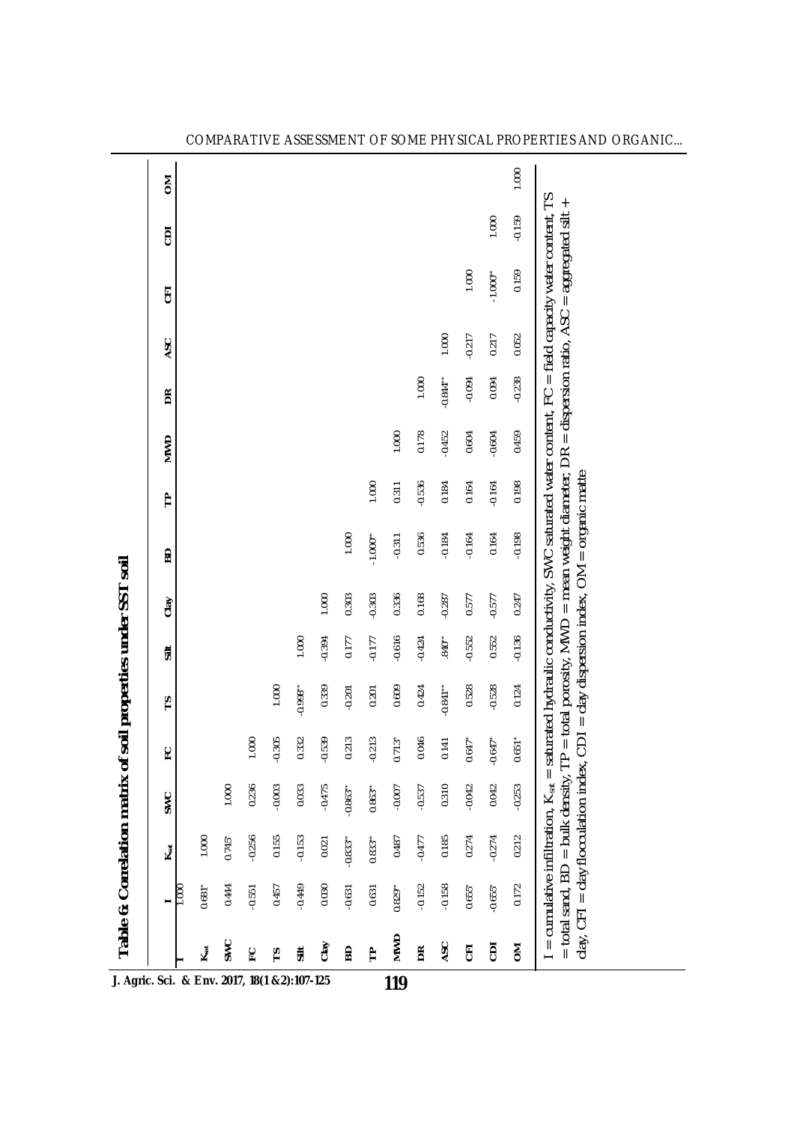| turated hydraulic conductivity, SWC saturated water content, FC = field capacity water content,<br>1.000<br>$-1.000"$<br>0.159<br>핑 |
|-------------------------------------------------------------------------------------------------------------------------------------|
|                                                                                                                                     |

COMPARATIVE ASSESSMENT OF SOME PHYSICAL PROPERTIES AND ORGANIC...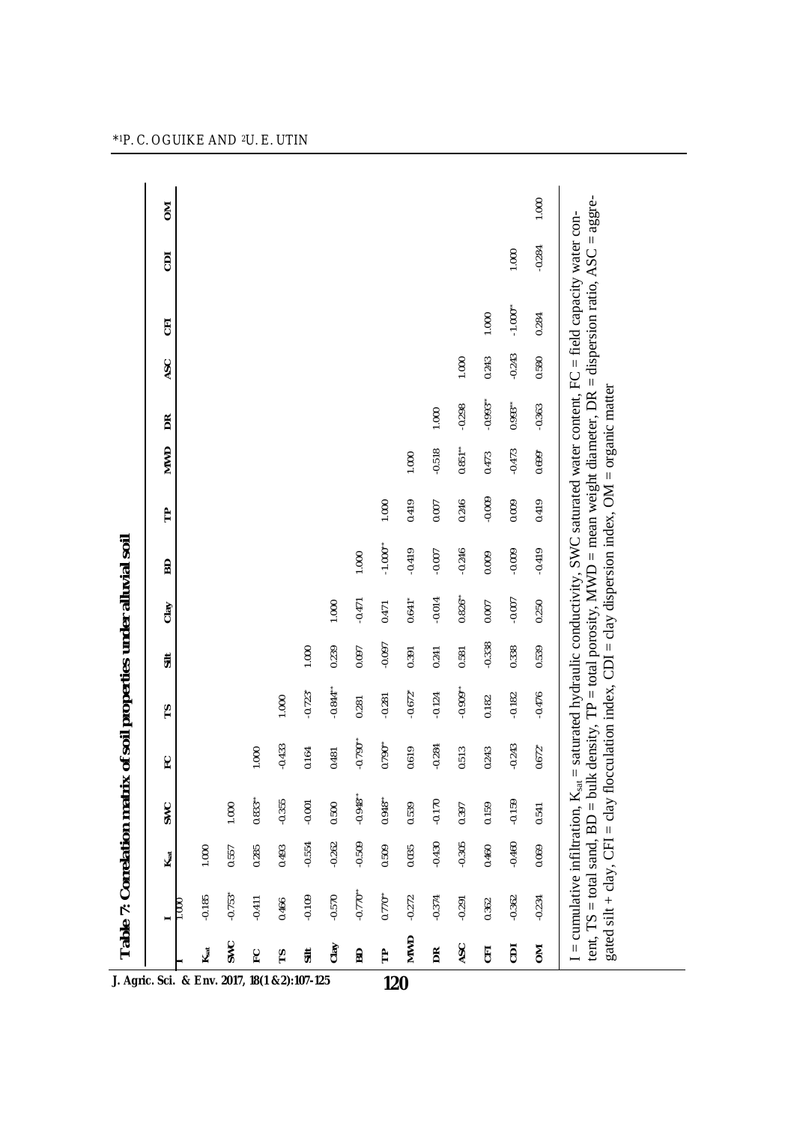| J. Agric. Sci. & Env. 2017, 18(1 &2):107-125 |                       | Ksat     | SWC       | ဥ          | 15                    | $\frac{1}{5}$ | Clay      | <b>BD</b>              | ᡛ        | MWD       | BŘ          | ASC      | 핑                      | ā        | š     |
|----------------------------------------------|-----------------------|----------|-----------|------------|-----------------------|---------------|-----------|------------------------|----------|-----------|-------------|----------|------------------------|----------|-------|
| $K_{sat}$                                    | $-0.185$              | 1.000    |           |            |                       |               |           |                        |          |           |             |          |                        |          |       |
| <b>SWC</b>                                   | $-0.753$ <sup>*</sup> | 0.557    | 1.000     |            |                       |               |           |                        |          |           |             |          |                        |          |       |
| ဥ                                            | $-0.411$              | 0.285    | $0.833**$ | 1.000      |                       |               |           |                        |          |           |             |          |                        |          |       |
| ۴                                            | 0.466                 | 0.493    | -0.355    | $-0.433$   | 1.000                 |               |           |                        |          |           |             |          |                        |          |       |
| <b>Silt</b>                                  | $-0.109$              | $-0.554$ | $-0.001$  | 0.164      | $-0.723$ <sup>*</sup> | 1.000         |           |                        |          |           |             |          |                        |          |       |
| Clay                                         | $-0.570$              | $-0.262$ | 0.500     | 0.481      | $-0.844$ **           | 0.239         | 1.000     |                        |          |           |             |          |                        |          |       |
| 50                                           | $-0.770$              | $-0.509$ | $-0.948$  | $-0.790**$ | 0.281                 | 0.097         | $-0.471$  | 1.000                  |          |           |             |          |                        |          |       |
| F<br>120                                     | $0.770^{**}$          | 0.509    | 0.948"    | $0.790**$  | $-0.281$              | $-0.097$      | 0.471     | $-1.000$ <sup>**</sup> | 1.000    |           |             |          |                        |          |       |
| <b>NWD</b>                                   | $-0.272$              | 0.035    | 0.539     | 0.619      | $-0.672$ <sup>*</sup> | 0.391         | $0.641*$  | $-0.419$               | 0.419    | 1.000     |             |          |                        |          |       |
| $\mathsf{B}$                                 | $-0.374$              | $-0.430$ | $-0.170$  | $-0.284$   | $-0.124$              | 0.241         | $-0.014$  | $-0.007$               | 0.007    | $-0.518$  | 1.000       |          |                        |          |       |
| ASC                                          | $-0.291$              | $-0.305$ | 0.397     | 0.513      | $-0.909$ **           | 0.581         | $0.826**$ | $-0.246$               | 0.246    | $0.851**$ | $-0.298$    | 1.000    |                        |          |       |
| 딩                                            | 0.362                 | 0.460    | 0.159     | 0.243      | 0.182                 | $-0.338$      | 0.007     | 0.009                  | $-0.009$ | 0.473     | $-0.993$ ** | 0.243    | 1.000                  |          |       |
| ā                                            | $-0.362$              | $-0.460$ | $-0.159$  | $-0.243$   | $-0.182$              | 0.338         | $-0.007$  | $-0.009$               | 0.009    | $-0.473$  | 0.993       | $-0.243$ | $-1.000$ <sup>**</sup> | 1.000    |       |
| ŠΣ                                           | $-0.234$              | 0.069    | 0.541     | $0.672*$   | $-0.476$              | 0.539         | 0.250     | $-0.419$               | 0.419    | 0.699*    | $-0.363$    | 0.580    | 0.284                  | $-0.284$ | 1.000 |

 $\overline{a}$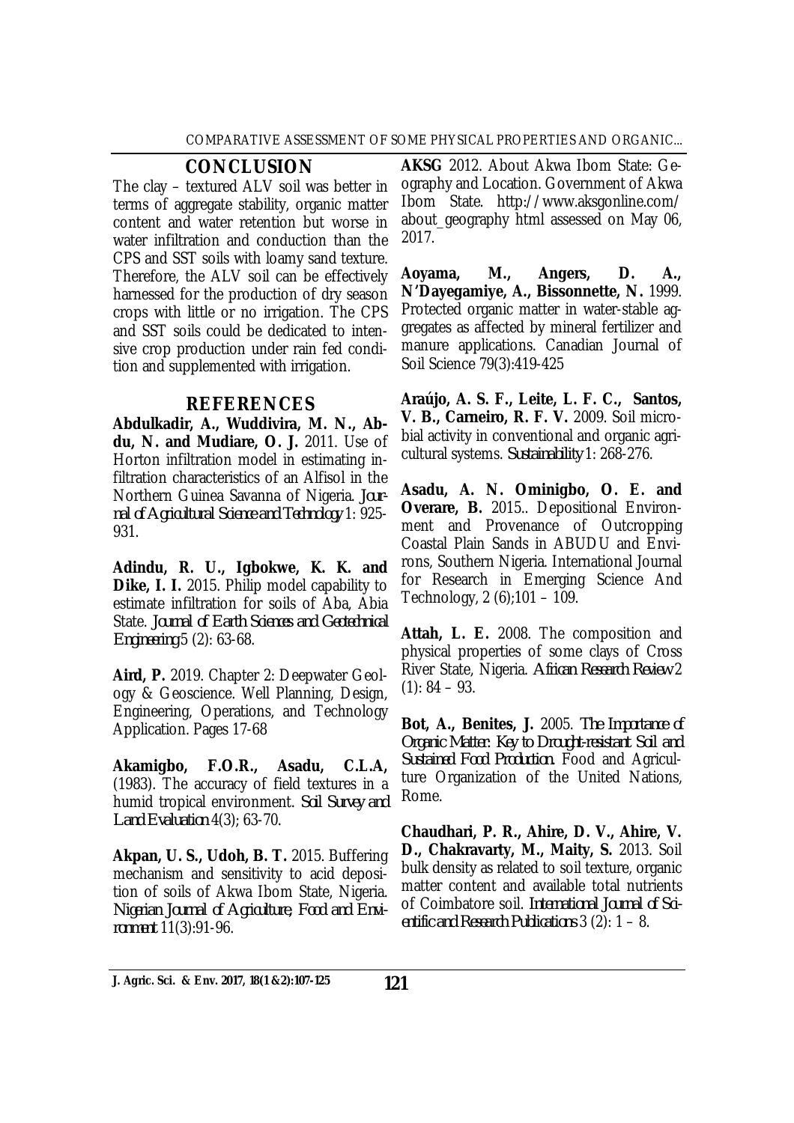## **CONCLUSION**

The clay – textured ALV soil was better in terms of aggregate stability, organic matter content and water retention but worse in water infiltration and conduction than the CPS and SST soils with loamy sand texture. Therefore, the ALV soil can be effectively harnessed for the production of dry season crops with little or no irrigation. The CPS and SST soils could be dedicated to intensive crop production under rain fed condition and supplemented with irrigation.

## **REFERENCES**

**Abdulkadir, A., Wuddivira, M. N., Abdu, N. and Mudiare, O. J.** 2011. Use of Horton infiltration model in estimating infiltration characteristics of an Alfisol in the Northern Guinea Savanna of Nigeria. *Journal of Agricultural Science and Technology* 1: 925- 931.

**Adindu, R. U., Igbokwe, K. K. and Dike, I. I.** 2015. Philip model capability to estimate infiltration for soils of Aba, Abia State. *Journal of Earth Sciences and Geotechnical Engineering* 5 (2): 63-68.

**Aird, P.** 2019. Chapter 2: Deepwater Geology & Geoscience. Well Planning, Design, Engineering, Operations, and Technology Application. Pages 17-68

**Akamigbo, F.O.R., Asadu, C.L.A,**  (1983). The accuracy of field textures in a humid tropical environment. *Soil Survey and Land Evaluation* 4(3); 63-70.

**Akpan, U. S., Udoh, B. T.** 2015. Buffering mechanism and sensitivity to acid deposition of soils of Akwa Ibom State, Nigeria. *Nigerian Journal of Agriculture, Food and Environment* 11(3):91-96.

**AKSG** 2012. About Akwa Ibom State: Geography and Location. Government of Akwa Ibom State. <http://www.aksgonline.com/> about geography html assessed on May 06, 2017.

**Aoyama, M., Angers, D. A., N'Dayegamiye, A., Bissonnette, N.** 1999. Protected organic matter in water-stable aggregates as affected by mineral fertilizer and manure applications. Canadian Journal of Soil Science 79(3):419-425

**Araújo, A. S. F., Leite, L. F. C., Santos, V. B., Carneiro, R. F. V.** 2009. Soil microbial activity in conventional and organic agricultural systems. *Sustainability* 1: 268-276.

**Asadu, A. N. Ominigbo, O. E. and Overare, B.** 2015.. Depositional Environment and Provenance of Outcropping Coastal Plain Sands in ABUDU and Environs, Southern Nigeria. International Journal for Research in Emerging Science And Technology, 2 (6);101 – 109.

**Attah, L. E.** 2008. The composition and physical properties of some clays of Cross River State, Nigeria. *African Research Review* 2  $(1): 84 - 93.$ 

**Bot, A., Benites, J.** 2005. *The Importance of Organic Matter: Key to Drought-resistant Soil and Sustained Food Production.* Food and Agriculture Organization of the United Nations, Rome.

**Chaudhari, P. R., Ahire, D. V., Ahire, V. D., Chakravarty, M., Maity, S.** 2013. Soil bulk density as related to soil texture, organic matter content and available total nutrients of Coimbatore soil. *International Journal of Scientific and Research Publications* 3 (2): 1 – 8.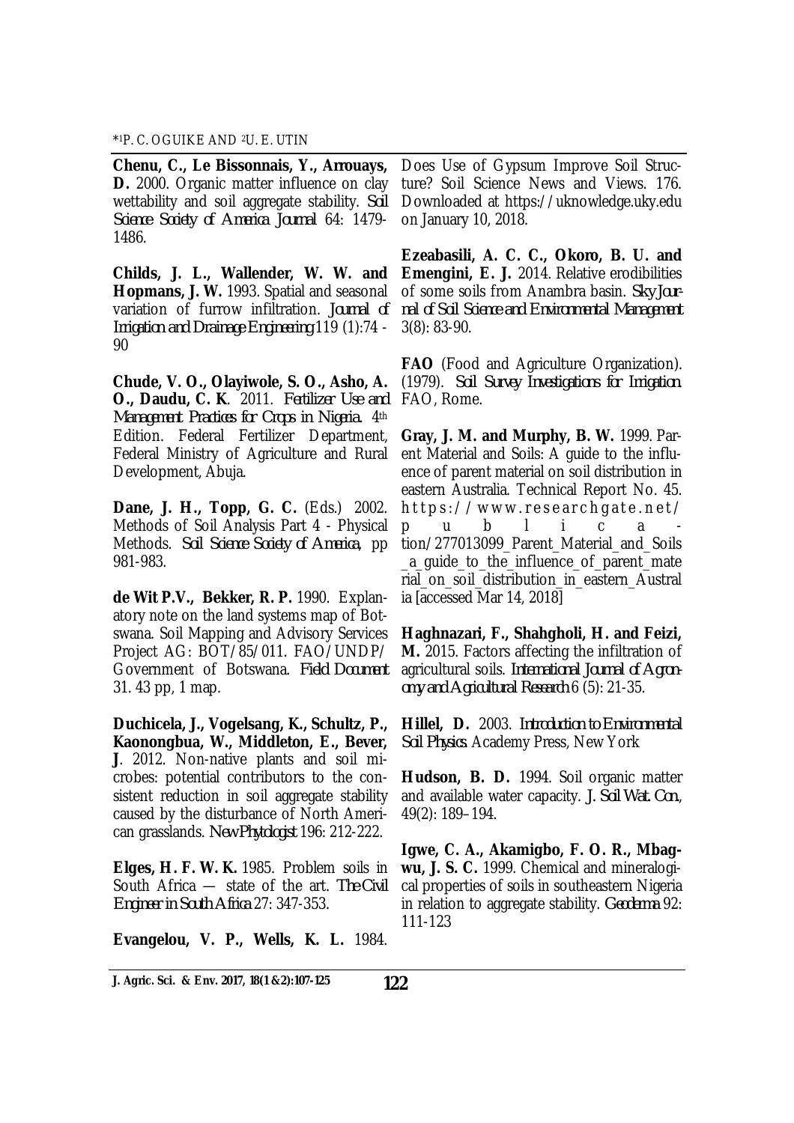\* <sup>1</sup>P. C. OGUIKE AND 2U. E. UTIN

**Chenu, C., Le Bissonnais, Y., Arrouays, D.** 2000. Organic matter influence on clay wettability and soil aggregate stability. *Soil Science Society of America Journal* 64: 1479- 1486.

**Childs, J. L., Wallender, W. W. and Hopmans, J. W.** 1993. Spatial and seasonal variation of furrow infiltration. *Journal of Irrigation and Drainage Engineering* 119 (1):74 - 90

**Chude, V. O., Olayiwole, S. O., Asho, A. O., Daudu, C. K**. 2011. *Fertilizer Use and Management Practices for Crops in Nigeria.* 4th Edition. Federal Fertilizer Department, Federal Ministry of Agriculture and Rural Development, Abuja.

**Dane, J. H., Topp, G. C.** (Eds.) 2002. Methods of Soil Analysis Part 4 - Physical Methods. *Soil Science Society of America*, pp 981-983.

**de Wit P.V., Bekker, R. P.** 1990. Explanatory note on the land systems map of Botswana. Soil Mapping and Advisory Services Project AG: BOT/85/011. FAO/UNDP/ Government of Botswana. *Field Document* 31. 43 pp, 1 map.

**Duchicela, J., Vogelsang, K., Schultz, P., Kaonongbua, W., Middleton, E., Bever, J**. 2012. Non-native plants and soil microbes: potential contributors to the consistent reduction in soil aggregate stability caused by the disturbance of North American grasslands. *New Phytologist* 196: 212-222.

**Elges, H. F. W. K.** 1985. Problem soils in South Africa — state of the art. *The Civil Engineer in South Africa* 27: 347-353.

**Evangelou, V. P., Wells, K. L.** 1984.

Does Use of Gypsum Improve Soil Structure? Soil Science News and Views. 176. Downloaded at <https://uknowledge.uky.edu> on January 10, 2018.

**Ezeabasili, A. C. C., Okoro, B. U. and Emengini, E. J.** 2014. Relative erodibilities of some soils from Anambra basin. *Sky Journal of Soil Science and Environmental Management* 3(8): 83-90.

**FAO** (Food and Agriculture Organization). (1979). *Soil Survey Investigations for Irrigation*. FAO, Rome.

**Gray, J. M. and Murphy, B. W.** 1999. Parent Material and Soils: A guide to the influence of parent material on soil distribution in eastern Australia. Technical Report No. 45. https://www.researchgate.net/ p u b l i c a tion/277013099\_Parent\_Material\_and\_Soils \_a\_guide\_to\_the\_influence\_of\_parent\_mate rial on soil distribution in eastern Austral ia [accessed Mar 14, 2018]

**Haghnazari, F., Shahgholi, H. and Feizi, M.** 2015. Factors affecting the infiltration of agricultural soils. *International Journal of Agronomy and Agricultural Research* 6 (5): 21-35.

**Hillel, D.** 2003. *Introduction to Environmental Soil Physics*. Academy Press, New York

**Hudson, B. D.** 1994. Soil organic matter and available water capacity. *J. Soil Wat. Con.*, 49(2): 189–194.

**Igwe, C. A., Akamigbo, F. O. R., Mbagwu, J. S. C.** 1999. Chemical and mineralogical properties of soils in southeastern Nigeria in relation to aggregate stability. *Geoderma* 92: 111-123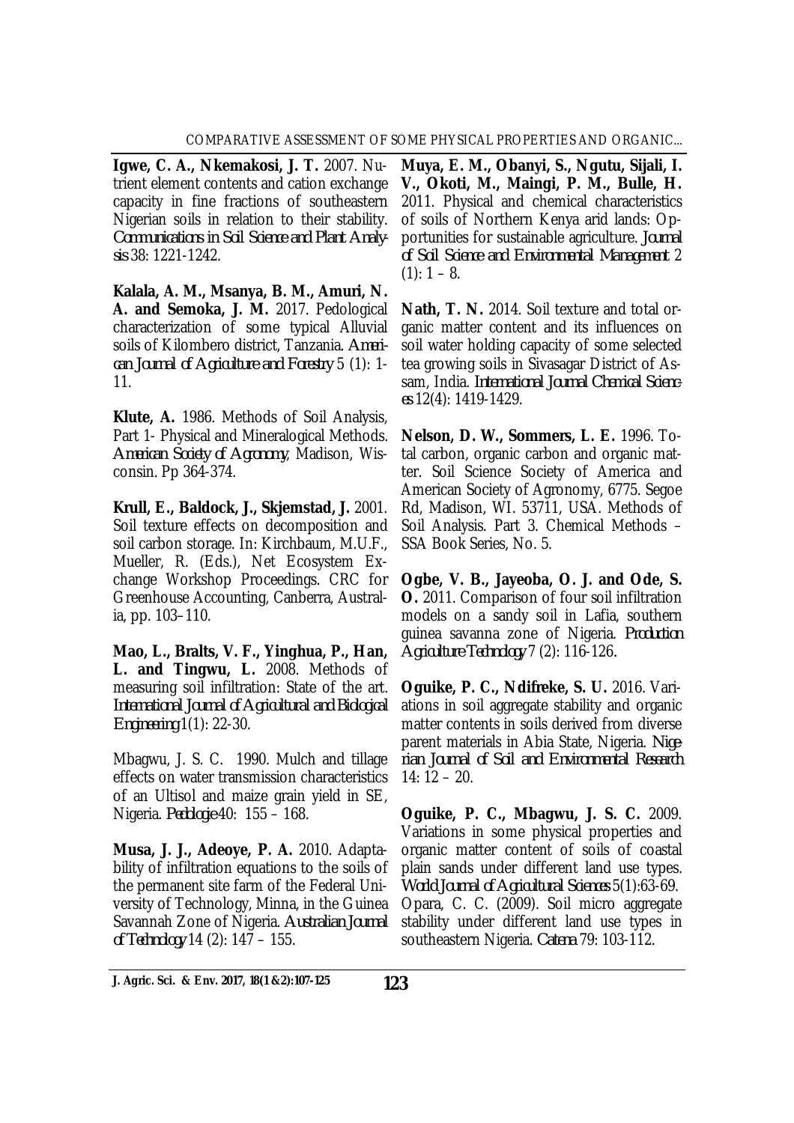**Igwe, C. A., Nkemakosi, J. T.** 2007. Nutrient element contents and cation exchange capacity in fine fractions of southeastern Nigerian soils in relation to their stability. *Communications in Soil Science and Plant Analysis* 38: 1221-1242.

**Kalala, A. M., Msanya, B. M., Amuri, N. A. and Semoka, J. M.** 2017. Pedological characterization of some typical Alluvial soils of Kilombero district, Tanzania. *American Journal of Agriculture and Forestry* 5 (1): 1- 11.

**Klute, A.** 1986. Methods of Soil Analysis, Part 1- Physical and Mineralogical Methods. *American Society of Agronomy*, Madison, Wisconsin. Pp 364-374.

**Krull, E., Baldock, J., Skjemstad, J.** 2001. Soil texture effects on decomposition and soil carbon storage. In: Kirchbaum, M.U.F., Mueller, R. (Eds.), Net Ecosystem Exchange Workshop Proceedings. CRC for Greenhouse Accounting, Canberra, Australia, pp. 103–110.

**Mao, L., Bralts, V. F., Yinghua, P., Han, L. and Tingwu, L.** 2008. Methods of measuring soil infiltration: State of the art. *International Journal of Agricultural and Biological Engineering* 1(1): 22-30.

Mbagwu, J. S. C. 1990. Mulch and tillage effects on water transmission characteristics of an Ultisol and maize grain yield in SE, Nigeria. *Pedologie* 40: 155 – 168.

**Musa, J. J., Adeoye, P. A.** 2010. Adaptability of infiltration equations to the soils of the permanent site farm of the Federal University of Technology, Minna, in the Guinea Savannah Zone of Nigeria. *Australian Journal of Technology* 14 (2): 147 – 155.

**Muya, E. M., Obanyi, S., Ngutu, Sijali, I. V., Okoti, M., Maingi, P. M., Bulle, H.**  2011. Physical and chemical characteristics of soils of Northern Kenya arid lands: Opportunities for sustainable agriculture. *Journal of Soil Science and Environmental Management* 2  $(1): 1 - 8.$ 

**Nath, T. N.** 2014. Soil texture and total organic matter content and its influences on soil water holding capacity of some selected tea growing soils in Sivasagar District of Assam, India. *International Journal Chemical Sciences* 12(4): 1419-1429.

**Nelson, D. W., Sommers, L. E.** 1996. Total carbon, organic carbon and organic matter. Soil Science Society of America and American Society of Agronomy, 6775. Segoe Rd, Madison, WI. 53711, USA. Methods of Soil Analysis. Part 3. Chemical Methods – SSA Book Series, No. 5.

**Ogbe, V. B., Jayeoba, O. J. and Ode, S. O.** 2011. Comparison of four soil infiltration models on a sandy soil in Lafia, southern guinea savanna zone of Nigeria. *Production Agriculture Technology* 7 (2): 116-126*.* 

**Oguike, P. C., Ndifreke, S. U.** 2016. Variations in soil aggregate stability and organic matter contents in soils derived from diverse parent materials in Abia State, Nigeria. *Nigerian Journal of Soil and Environmental Research* 14: 12 – 20.

**Oguike, P. C., Mbagwu, J. S. C.** 2009. Variations in some physical properties and organic matter content of soils of coastal plain sands under different land use types. *World Journal of Agricultural Sciences* 5(1):63-69. Opara, C. C. (2009). Soil micro aggregate stability under different land use types in southeastern Nigeria. *Catena* 79: 103-112.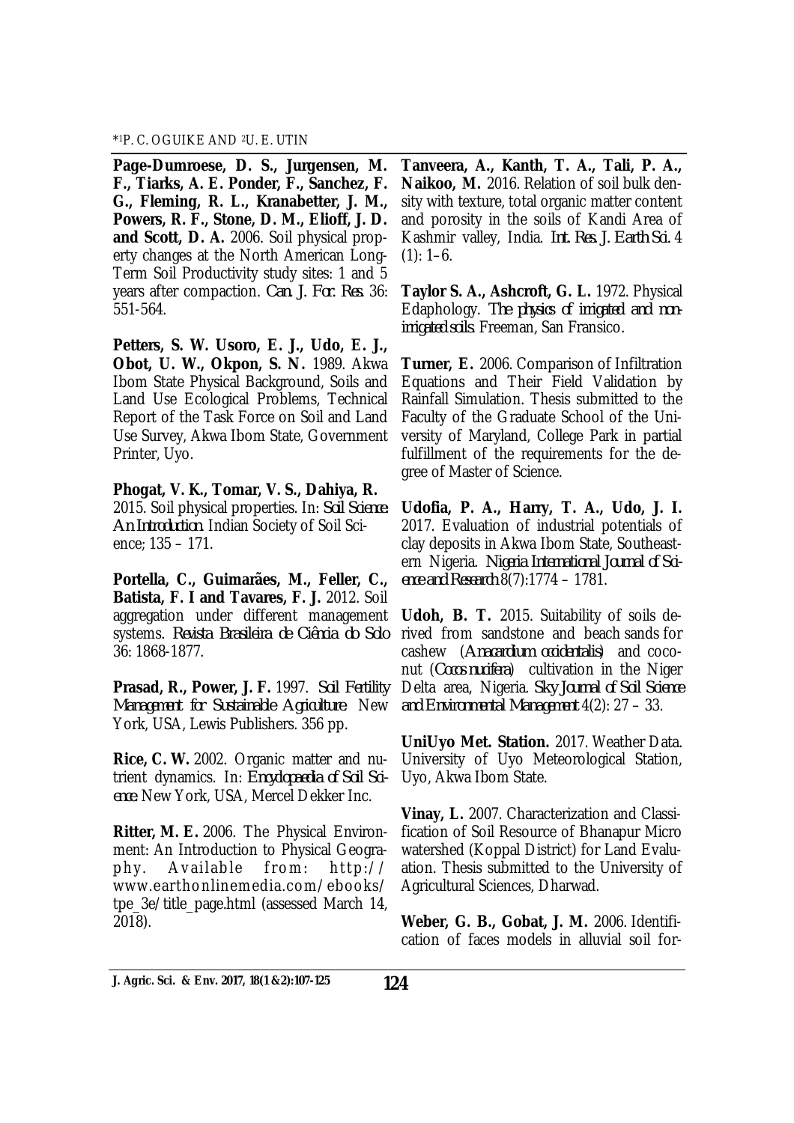#### \* <sup>1</sup>P. C. OGUIKE AND 2U. E. UTIN

**Page-Dumroese, D. S., Jurgensen, M. F., Tiarks, A. E. Ponder, F., Sanchez, F. G., Fleming, R. L., Kranabetter, J. M., Powers, R. F., Stone, D. M., Elioff, J. D. and Scott, D. A.** 2006. Soil physical property changes at the North American Long-Term Soil Productivity study sites: 1 and 5 years after compaction. *Can. J. For. Res.* 36: 551-564.

**Petters, S. W. Usoro, E. J., Udo, E. J., Obot, U. W., Okpon, S. N.** 1989. Akwa Ibom State Physical Background, Soils and Land Use Ecological Problems, Technical Report of the Task Force on Soil and Land Use Survey, Akwa Ibom State, Government Printer, Uyo.

**Phogat, V. K., Tomar, V. S., Dahiya, R.**  2015. Soil physical properties. In: *Soil Science: An Introduction*. Indian Society of Soil Science; 135 – 171.

**Portella, C., Guimarães, M., Feller, C., Batista, F. I and Tavares, F. J.** 2012. Soil aggregation under different management systems. *Revista Brasileira de Ciência do Solo* 36: 1868-1877.

**Prasad, R., Power, J. F.** 1997. *Soil Fertility Management for Sustainable Agriculture*. New York, USA, Lewis Publishers. 356 pp.

**Rice, C. W.** 2002. Organic matter and nutrient dynamics. In: *Encyclopaedia of Soil Science.* New York, USA, Mercel Dekker Inc.

**Ritter, M. E.** 2006. The Physical Environment: An Introduction to Physical Geogra $phv.$  Available from:  $htb$ :// www.earthonlinemedia.com/ebooks/ tpe\_3e/title\_page.html (assessed March 14, 2018).

**Tanveera, A., Kanth, T. A., Tali, P. A., Naikoo, M.** 2016. Relation of soil bulk density with texture, total organic matter content and porosity in the soils of Kandi Area of Kashmir valley, India. *Int. Res. J. Earth Sci.* 4  $(1): 1-6.$ 

**Taylor S. A., Ashcroft, G. L.** 1972. Physical Edaphology. *The physics of irrigated and nonirrigated soils*. Freeman, San Fransico.

**Turner, E.** 2006. Comparison of Infiltration Equations and Their Field Validation by Rainfall Simulation. Thesis submitted to the Faculty of the Graduate School of the University of Maryland, College Park in partial fulfillment of the requirements for the degree of Master of Science.

**Udofia, P. A., Harry, T. A., Udo, J. I.**  2017. Evaluation of industrial potentials of clay deposits in Akwa Ibom State, Southeastern Nigeria. *Nigeria International Journal of Science and Research* 8(7):1774 – 1781.

**Udoh, B. T.** 2015. Suitability of soils derived from sandstone and beach sands for cashew (*Anacardium occidentalis*) and coconut (*Cocos nucifera*) cultivation in the Niger Delta area, Nigeria. *Sky Journal of Soil Science and Environmental Management* 4(2): 27 – 33.

**UniUyo Met. Station.** 2017. Weather Data. University of Uyo Meteorological Station, Uyo, Akwa Ibom State.

**Vinay, L.** 2007. Characterization and Classification of Soil Resource of Bhanapur Micro watershed (Koppal District) for Land Evaluation. Thesis submitted to the University of Agricultural Sciences, Dharwad.

**Weber, G. B., Gobat, J. M.** 2006. Identification of faces models in alluvial soil for-